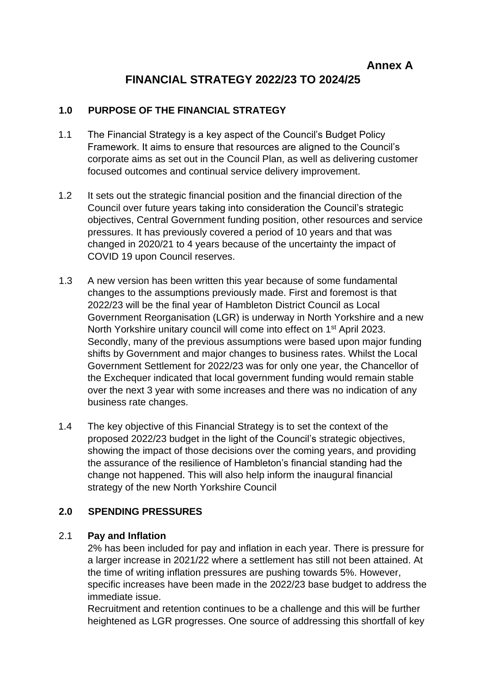# **FINANCIAL STRATEGY 2022/23 TO 2024/25**

## **1.0 PURPOSE OF THE FINANCIAL STRATEGY**

- 1.1 The Financial Strategy is a key aspect of the Council's Budget Policy Framework. It aims to ensure that resources are aligned to the Council's corporate aims as set out in the Council Plan, as well as delivering customer focused outcomes and continual service delivery improvement.
- 1.2 It sets out the strategic financial position and the financial direction of the Council over future years taking into consideration the Council's strategic objectives, Central Government funding position, other resources and service pressures. It has previously covered a period of 10 years and that was changed in 2020/21 to 4 years because of the uncertainty the impact of COVID 19 upon Council reserves.
- 1.3 A new version has been written this year because of some fundamental changes to the assumptions previously made. First and foremost is that 2022/23 will be the final year of Hambleton District Council as Local Government Reorganisation (LGR) is underway in North Yorkshire and a new North Yorkshire unitary council will come into effect on 1<sup>st</sup> April 2023. Secondly, many of the previous assumptions were based upon major funding shifts by Government and major changes to business rates. Whilst the Local Government Settlement for 2022/23 was for only one year, the Chancellor of the Exchequer indicated that local government funding would remain stable over the next 3 year with some increases and there was no indication of any business rate changes.
- 1.4 The key objective of this Financial Strategy is to set the context of the proposed 2022/23 budget in the light of the Council's strategic objectives, showing the impact of those decisions over the coming years, and providing the assurance of the resilience of Hambleton's financial standing had the change not happened. This will also help inform the inaugural financial strategy of the new North Yorkshire Council

# **2.0 SPENDING PRESSURES**

#### 2.1 **Pay and Inflation**

2% has been included for pay and inflation in each year. There is pressure for a larger increase in 2021/22 where a settlement has still not been attained. At the time of writing inflation pressures are pushing towards 5%. However, specific increases have been made in the 2022/23 base budget to address the immediate issue.

Recruitment and retention continues to be a challenge and this will be further heightened as LGR progresses. One source of addressing this shortfall of key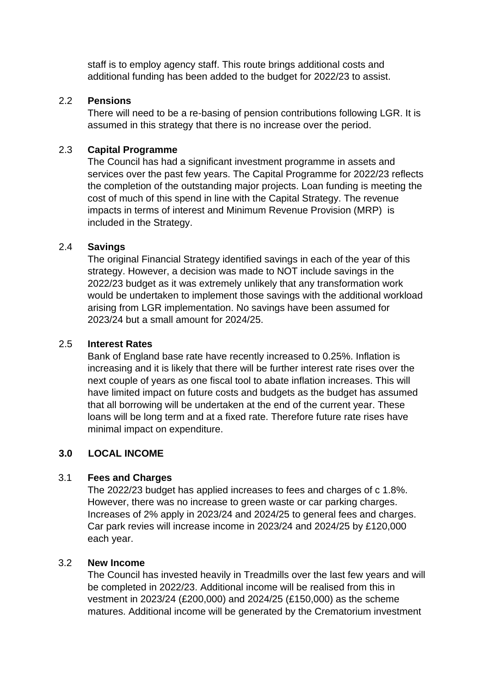staff is to employ agency staff. This route brings additional costs and additional funding has been added to the budget for 2022/23 to assist.

## 2.2 **Pensions**

There will need to be a re-basing of pension contributions following LGR. It is assumed in this strategy that there is no increase over the period.

## 2.3 **Capital Programme**

The Council has had a significant investment programme in assets and services over the past few years. The Capital Programme for 2022/23 reflects the completion of the outstanding major projects. Loan funding is meeting the cost of much of this spend in line with the Capital Strategy. The revenue impacts in terms of interest and Minimum Revenue Provision (MRP) is included in the Strategy.

#### 2.4 **Savings**

The original Financial Strategy identified savings in each of the year of this strategy. However, a decision was made to NOT include savings in the 2022/23 budget as it was extremely unlikely that any transformation work would be undertaken to implement those savings with the additional workload arising from LGR implementation. No savings have been assumed for 2023/24 but a small amount for 2024/25.

#### 2.5 **Interest Rates**

Bank of England base rate have recently increased to 0.25%. Inflation is increasing and it is likely that there will be further interest rate rises over the next couple of years as one fiscal tool to abate inflation increases. This will have limited impact on future costs and budgets as the budget has assumed that all borrowing will be undertaken at the end of the current year. These loans will be long term and at a fixed rate. Therefore future rate rises have minimal impact on expenditure.

# **3.0 LOCAL INCOME**

#### 3.1 **Fees and Charges**

The 2022/23 budget has applied increases to fees and charges of c 1.8%. However, there was no increase to green waste or car parking charges. Increases of 2% apply in 2023/24 and 2024/25 to general fees and charges. Car park revies will increase income in 2023/24 and 2024/25 by £120,000 each year.

#### 3.2 **New Income**

The Council has invested heavily in Treadmills over the last few years and will be completed in 2022/23. Additional income will be realised from this in vestment in 2023/24 (£200,000) and 2024/25 (£150,000) as the scheme matures. Additional income will be generated by the Crematorium investment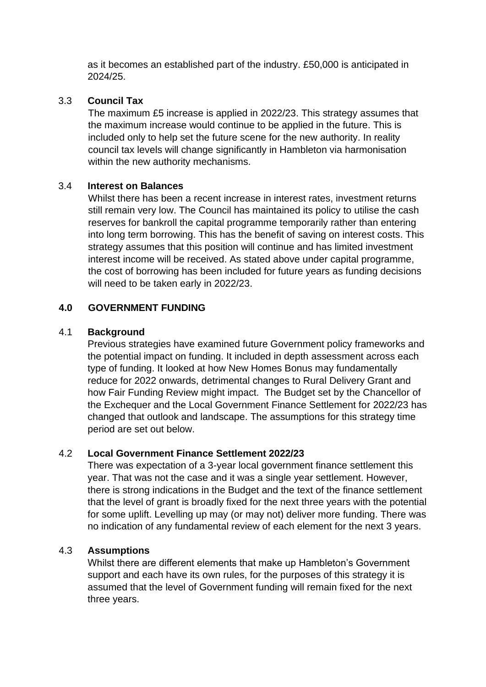as it becomes an established part of the industry. £50,000 is anticipated in 2024/25.

## 3.3 **Council Tax**

The maximum £5 increase is applied in 2022/23. This strategy assumes that the maximum increase would continue to be applied in the future. This is included only to help set the future scene for the new authority. In reality council tax levels will change significantly in Hambleton via harmonisation within the new authority mechanisms.

#### 3.4 **Interest on Balances**

Whilst there has been a recent increase in interest rates, investment returns still remain very low. The Council has maintained its policy to utilise the cash reserves for bankroll the capital programme temporarily rather than entering into long term borrowing. This has the benefit of saving on interest costs. This strategy assumes that this position will continue and has limited investment interest income will be received. As stated above under capital programme, the cost of borrowing has been included for future years as funding decisions will need to be taken early in 2022/23.

## **4.0 GOVERNMENT FUNDING**

## 4.1 **Background**

Previous strategies have examined future Government policy frameworks and the potential impact on funding. It included in depth assessment across each type of funding. It looked at how New Homes Bonus may fundamentally reduce for 2022 onwards, detrimental changes to Rural Delivery Grant and how Fair Funding Review might impact. The Budget set by the Chancellor of the Exchequer and the Local Government Finance Settlement for 2022/23 has changed that outlook and landscape. The assumptions for this strategy time period are set out below.

# 4.2 **Local Government Finance Settlement 2022/23**

There was expectation of a 3-year local government finance settlement this year. That was not the case and it was a single year settlement. However, there is strong indications in the Budget and the text of the finance settlement that the level of grant is broadly fixed for the next three years with the potential for some uplift. Levelling up may (or may not) deliver more funding. There was no indication of any fundamental review of each element for the next 3 years.

#### 4.3 **Assumptions**

Whilst there are different elements that make up Hambleton's Government support and each have its own rules, for the purposes of this strategy it is assumed that the level of Government funding will remain fixed for the next three years.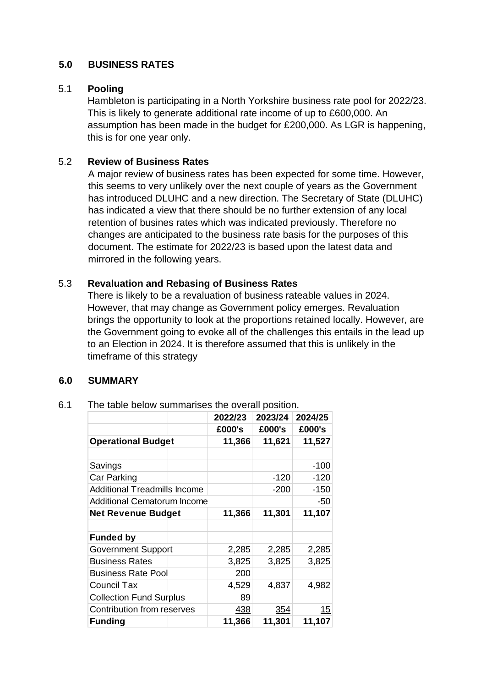## **5.0 BUSINESS RATES**

#### 5.1 **Pooling**

Hambleton is participating in a North Yorkshire business rate pool for 2022/23. This is likely to generate additional rate income of up to £600,000. An assumption has been made in the budget for £200,000. As LGR is happening, this is for one year only.

#### 5.2 **Review of Business Rates**

A major review of business rates has been expected for some time. However, this seems to very unlikely over the next couple of years as the Government has introduced DLUHC and a new direction. The Secretary of State (DLUHC) has indicated a view that there should be no further extension of any local retention of busines rates which was indicated previously. Therefore no changes are anticipated to the business rate basis for the purposes of this document. The estimate for 2022/23 is based upon the latest data and mirrored in the following years.

## 5.3 **Revaluation and Rebasing of Business Rates**

There is likely to be a revaluation of business rateable values in 2024. However, that may change as Government policy emerges. Revaluation brings the opportunity to look at the proportions retained locally. However, are the Government going to evoke all of the challenges this entails in the lead up to an Election in 2024. It is therefore assumed that this is unlikely in the timeframe of this strategy

#### **6.0 SUMMARY**

#### 6.1 The table below summarises the overall position.

|                                     |  | 2022/23 | 2023/24 | 2024/25 |
|-------------------------------------|--|---------|---------|---------|
|                                     |  | £000's  | £000's  | £000's  |
| <b>Operational Budget</b>           |  | 11,366  | 11,621  | 11,527  |
|                                     |  |         |         |         |
| Savings                             |  |         |         | $-100$  |
| Car Parking                         |  |         | -120    | $-120$  |
| <b>Additional Treadmills Income</b> |  |         | $-200$  | $-150$  |
| Additional Cematorum Income         |  |         |         | $-50$   |
| <b>Net Revenue Budget</b>           |  | 11,366  | 11,301  | 11,107  |
|                                     |  |         |         |         |
| <b>Funded by</b>                    |  |         |         |         |
| <b>Government Support</b>           |  | 2,285   | 2,285   | 2,285   |
| <b>Business Rates</b>               |  | 3,825   | 3,825   | 3,825   |
| <b>Business Rate Pool</b>           |  | 200     |         |         |
| Council Tax                         |  | 4,529   | 4,837   | 4,982   |
| <b>Collection Fund Surplus</b>      |  | 89      |         |         |
| Contribution from reserves          |  | 438     | 354     | 15      |
| <b>Funding</b>                      |  | 11,366  | 11,301  | 11,107  |